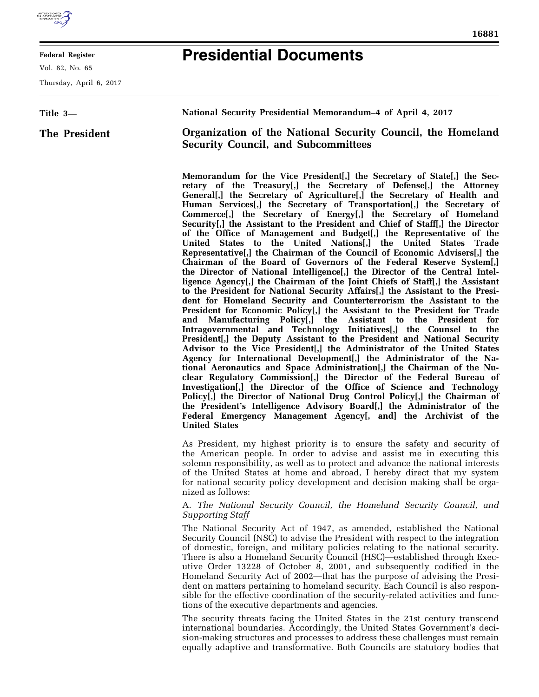

**Federal Register** 

Vol. 82, No. 65

**Title 3—** 

Thursday, April 6, 2017

**The President** 

# **Presidential Documents**

**National Security Presidential Memorandum–4 of April 4, 2017 Organization of the National Security Council, the Homeland Security Council, and Subcommittees** 

> **Memorandum for the Vice President[,] the Secretary of State[,] the Secretary of the Treasury[,] the Secretary of Defense[,] the Attorney General[,] the Secretary of Agriculture[,] the Secretary of Health and Human Services[,] the Secretary of Transportation[,] the Secretary of Commerce[,] the Secretary of Energy[,] the Secretary of Homeland Security[,] the Assistant to the President and Chief of Staff[,] the Director of the Office of Management and Budget[,] the Representative of the United States to the United Nations[,] the United States Trade Representative[,] the Chairman of the Council of Economic Advisers[,] the Chairman of the Board of Governors of the Federal Reserve System[,] the Director of National Intelligence[,] the Director of the Central Intelligence Agency[,] the Chairman of the Joint Chiefs of Staff[,] the Assistant to the President for National Security Affairs[,] the Assistant to the President for Homeland Security and Counterterrorism the Assistant to the President for Economic Policy[,] the Assistant to the President for Trade and Manufacturing Policy[,] the Assistant to the President for Intragovernmental and Technology Initiatives[,] the Counsel to the President[,] the Deputy Assistant to the President and National Security Advisor to the Vice President[,] the Administrator of the United States Agency for International Development[,] the Administrator of the National Aeronautics and Space Administration[,] the Chairman of the Nuclear Regulatory Commission[,] the Director of the Federal Bureau of Investigation[,] the Director of the Office of Science and Technology Policy[,] the Director of National Drug Control Policy[,] the Chairman of the President's Intelligence Advisory Board[,] the Administrator of the Federal Emergency Management Agency[, and] the Archivist of the United States**

> As President, my highest priority is to ensure the safety and security of the American people. In order to advise and assist me in executing this solemn responsibility, as well as to protect and advance the national interests of the United States at home and abroad, I hereby direct that my system for national security policy development and decision making shall be organized as follows:

## A. *The National Security Council, the Homeland Security Council, and Supporting Staff*

The National Security Act of 1947, as amended, established the National Security Council (NSC) to advise the President with respect to the integration of domestic, foreign, and military policies relating to the national security. There is also a Homeland Security Council (HSC)—established through Executive Order 13228 of October 8, 2001, and subsequently codified in the Homeland Security Act of 2002—that has the purpose of advising the President on matters pertaining to homeland security. Each Council is also responsible for the effective coordination of the security-related activities and functions of the executive departments and agencies.

The security threats facing the United States in the 21st century transcend international boundaries. Accordingly, the United States Government's decision-making structures and processes to address these challenges must remain equally adaptive and transformative. Both Councils are statutory bodies that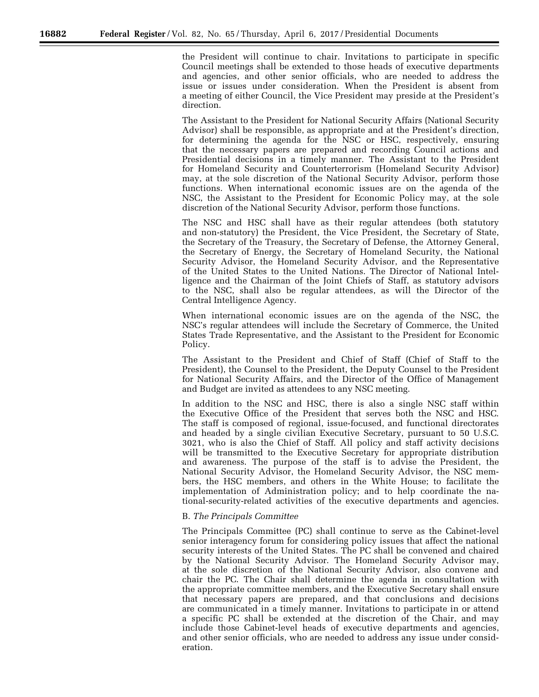the President will continue to chair. Invitations to participate in specific Council meetings shall be extended to those heads of executive departments and agencies, and other senior officials, who are needed to address the issue or issues under consideration. When the President is absent from a meeting of either Council, the Vice President may preside at the President's direction.

The Assistant to the President for National Security Affairs (National Security Advisor) shall be responsible, as appropriate and at the President's direction, for determining the agenda for the NSC or HSC, respectively, ensuring that the necessary papers are prepared and recording Council actions and Presidential decisions in a timely manner. The Assistant to the President for Homeland Security and Counterterrorism (Homeland Security Advisor) may, at the sole discretion of the National Security Advisor, perform those functions. When international economic issues are on the agenda of the NSC, the Assistant to the President for Economic Policy may, at the sole discretion of the National Security Advisor, perform those functions.

The NSC and HSC shall have as their regular attendees (both statutory and non-statutory) the President, the Vice President, the Secretary of State, the Secretary of the Treasury, the Secretary of Defense, the Attorney General, the Secretary of Energy, the Secretary of Homeland Security, the National Security Advisor, the Homeland Security Advisor, and the Representative of the United States to the United Nations. The Director of National Intelligence and the Chairman of the Joint Chiefs of Staff, as statutory advisors to the NSC, shall also be regular attendees, as will the Director of the Central Intelligence Agency.

When international economic issues are on the agenda of the NSC, the NSC's regular attendees will include the Secretary of Commerce, the United States Trade Representative, and the Assistant to the President for Economic Policy.

The Assistant to the President and Chief of Staff (Chief of Staff to the President), the Counsel to the President, the Deputy Counsel to the President for National Security Affairs, and the Director of the Office of Management and Budget are invited as attendees to any NSC meeting.

In addition to the NSC and HSC, there is also a single NSC staff within the Executive Office of the President that serves both the NSC and HSC. The staff is composed of regional, issue-focused, and functional directorates and headed by a single civilian Executive Secretary, pursuant to 50 U.S.C. 3021, who is also the Chief of Staff. All policy and staff activity decisions will be transmitted to the Executive Secretary for appropriate distribution and awareness. The purpose of the staff is to advise the President, the National Security Advisor, the Homeland Security Advisor, the NSC members, the HSC members, and others in the White House; to facilitate the implementation of Administration policy; and to help coordinate the national-security-related activities of the executive departments and agencies.

#### B. *The Principals Committee*

The Principals Committee (PC) shall continue to serve as the Cabinet-level senior interagency forum for considering policy issues that affect the national security interests of the United States. The PC shall be convened and chaired by the National Security Advisor. The Homeland Security Advisor may, at the sole discretion of the National Security Advisor, also convene and chair the PC. The Chair shall determine the agenda in consultation with the appropriate committee members, and the Executive Secretary shall ensure that necessary papers are prepared, and that conclusions and decisions are communicated in a timely manner. Invitations to participate in or attend a specific PC shall be extended at the discretion of the Chair, and may include those Cabinet-level heads of executive departments and agencies, and other senior officials, who are needed to address any issue under consideration.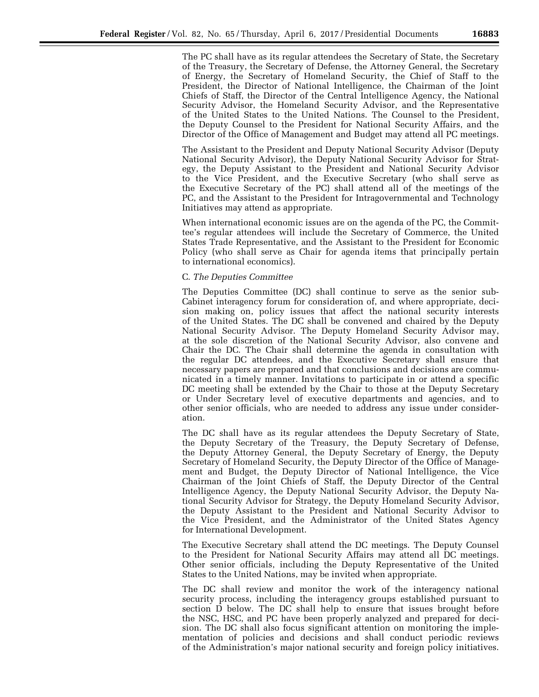The PC shall have as its regular attendees the Secretary of State, the Secretary of the Treasury, the Secretary of Defense, the Attorney General, the Secretary of Energy, the Secretary of Homeland Security, the Chief of Staff to the President, the Director of National Intelligence, the Chairman of the Joint Chiefs of Staff, the Director of the Central Intelligence Agency, the National Security Advisor, the Homeland Security Advisor, and the Representative of the United States to the United Nations. The Counsel to the President, the Deputy Counsel to the President for National Security Affairs, and the Director of the Office of Management and Budget may attend all PC meetings.

The Assistant to the President and Deputy National Security Advisor (Deputy National Security Advisor), the Deputy National Security Advisor for Strategy, the Deputy Assistant to the President and National Security Advisor to the Vice President, and the Executive Secretary (who shall serve as the Executive Secretary of the PC) shall attend all of the meetings of the PC, and the Assistant to the President for Intragovernmental and Technology Initiatives may attend as appropriate.

When international economic issues are on the agenda of the PC, the Committee's regular attendees will include the Secretary of Commerce, the United States Trade Representative, and the Assistant to the President for Economic Policy (who shall serve as Chair for agenda items that principally pertain to international economics).

### C. *The Deputies Committee*

The Deputies Committee (DC) shall continue to serve as the senior sub-Cabinet interagency forum for consideration of, and where appropriate, decision making on, policy issues that affect the national security interests of the United States. The DC shall be convened and chaired by the Deputy National Security Advisor. The Deputy Homeland Security Advisor may, at the sole discretion of the National Security Advisor, also convene and Chair the DC. The Chair shall determine the agenda in consultation with the regular DC attendees, and the Executive Secretary shall ensure that necessary papers are prepared and that conclusions and decisions are communicated in a timely manner. Invitations to participate in or attend a specific DC meeting shall be extended by the Chair to those at the Deputy Secretary or Under Secretary level of executive departments and agencies, and to other senior officials, who are needed to address any issue under consideration.

The DC shall have as its regular attendees the Deputy Secretary of State, the Deputy Secretary of the Treasury, the Deputy Secretary of Defense, the Deputy Attorney General, the Deputy Secretary of Energy, the Deputy Secretary of Homeland Security, the Deputy Director of the Office of Management and Budget, the Deputy Director of National Intelligence, the Vice Chairman of the Joint Chiefs of Staff, the Deputy Director of the Central Intelligence Agency, the Deputy National Security Advisor, the Deputy National Security Advisor for Strategy, the Deputy Homeland Security Advisor, the Deputy Assistant to the President and National Security Advisor to the Vice President, and the Administrator of the United States Agency for International Development.

The Executive Secretary shall attend the DC meetings. The Deputy Counsel to the President for National Security Affairs may attend all DC meetings. Other senior officials, including the Deputy Representative of the United States to the United Nations, may be invited when appropriate.

The DC shall review and monitor the work of the interagency national security process, including the interagency groups established pursuant to section D below. The DC shall help to ensure that issues brought before the NSC, HSC, and PC have been properly analyzed and prepared for decision. The DC shall also focus significant attention on monitoring the implementation of policies and decisions and shall conduct periodic reviews of the Administration's major national security and foreign policy initiatives.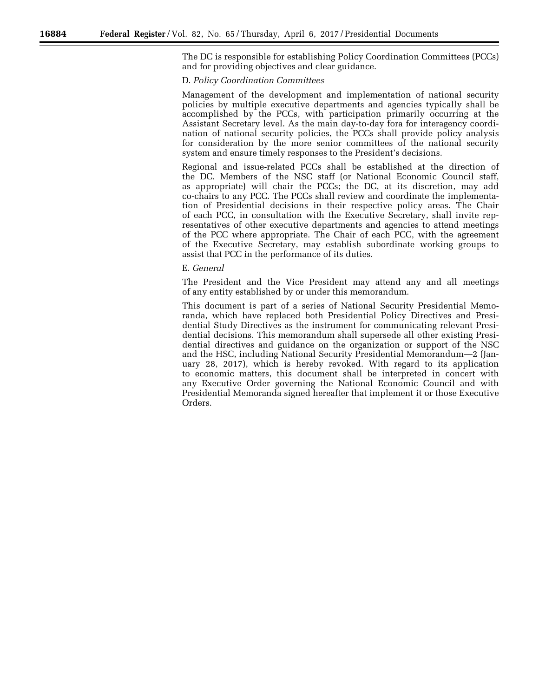The DC is responsible for establishing Policy Coordination Committees (PCCs) and for providing objectives and clear guidance.

## D. *Policy Coordination Committees*

Management of the development and implementation of national security policies by multiple executive departments and agencies typically shall be accomplished by the PCCs, with participation primarily occurring at the Assistant Secretary level. As the main day-to-day fora for interagency coordination of national security policies, the PCCs shall provide policy analysis for consideration by the more senior committees of the national security system and ensure timely responses to the President's decisions.

Regional and issue-related PCCs shall be established at the direction of the DC. Members of the NSC staff (or National Economic Council staff, as appropriate) will chair the PCCs; the DC, at its discretion, may add co-chairs to any PCC. The PCCs shall review and coordinate the implementation of Presidential decisions in their respective policy areas. The Chair of each PCC, in consultation with the Executive Secretary, shall invite representatives of other executive departments and agencies to attend meetings of the PCC where appropriate. The Chair of each PCC, with the agreement of the Executive Secretary, may establish subordinate working groups to assist that PCC in the performance of its duties.

#### E. *General*

The President and the Vice President may attend any and all meetings of any entity established by or under this memorandum.

This document is part of a series of National Security Presidential Memoranda, which have replaced both Presidential Policy Directives and Presidential Study Directives as the instrument for communicating relevant Presidential decisions. This memorandum shall supersede all other existing Presidential directives and guidance on the organization or support of the NSC and the HSC, including National Security Presidential Memorandum—2 (January 28, 2017), which is hereby revoked. With regard to its application to economic matters, this document shall be interpreted in concert with any Executive Order governing the National Economic Council and with Presidential Memoranda signed hereafter that implement it or those Executive Orders.